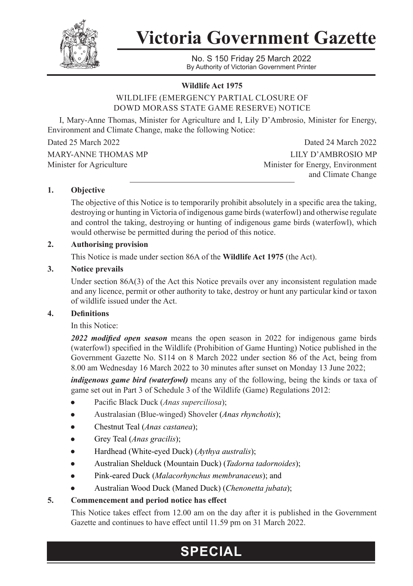

**Victoria Government Gazette**

No. S 150 Friday 25 March 2022 By Authority of Victorian Government Printer

## **Wildlife Act 1975**

WILDLIFE (EMERGENCY PARTIAL CLOSURE OF DOWD MORASS STATE GAME RESERVE) NOTICE

I, Mary-Anne Thomas, Minister for Agriculture and I, Lily D'Ambrosio, Minister for Energy, Environment and Climate Change, make the following Notice:

Dated 25 March 2022 Dated 24 March 2022

MARY-ANNE THOMAS MP LILY D'AMBROSIO MP Minister for Agriculture Minister for Energy, Environment and Climate Change

# **1. Objective**

The objective of this Notice is to temporarily prohibit absolutely in a specific area the taking, destroying or hunting in Victoria of indigenous game birds (waterfowl) and otherwise regulate and control the taking, destroying or hunting of indigenous game birds (waterfowl), which would otherwise be permitted during the period of this notice.

#### **2. Authorising provision**

This Notice is made under section 86A of the **Wildlife Act 1975** (the Act).

# **3. Notice prevails**

Under section 86A(3) of the Act this Notice prevails over any inconsistent regulation made and any licence, permit or other authority to take, destroy or hunt any particular kind or taxon of wildlife issued under the Act.

#### **4. Definitions**

In this Notice:

*2022 modified open season* means the open season in 2022 for indigenous game birds (waterfowl) specified in the Wildlife (Prohibition of Game Hunting) Notice published in the Government Gazette No. S114 on 8 March 2022 under section 86 of the Act, being from 8.00 am Wednesday 16 March 2022 to 30 minutes after sunset on Monday 13 June 2022;

*indigenous game bird (waterfowl)* means any of the following, being the kinds or taxa of game set out in Part 3 of Schedule 3 of the Wildlife (Game) Regulations 2012:

- Pacific Black Duck (*Anas superciliosa*);  $\bullet$
- Australasian (Blue-winged) Shoveler (*Anas rhynchotis*); ă
- Chestnut Teal (*Anas castanea*);  $\bullet$
- Grey Teal (*Anas gracilis*);  $\bullet$
- $\bullet$ Hardhead (White-eyed Duck) (*Aythya australis*);
- Australian Shelduck (Mountain Duck) (*Tadorna tadornoides*);  $\bullet$
- $\bullet$ Pink-eared Duck (*Malacorhynchus membranaceus*); and
- Australian Wood Duck (Maned Duck) (*Chenonetta jubata*);

# **5. Commencement and period notice has effect**

This Notice takes effect from 12.00 am on the day after it is published in the Government Gazette and continues to have effect until 11.59 pm on 31 March 2022.

# **SPECIAL**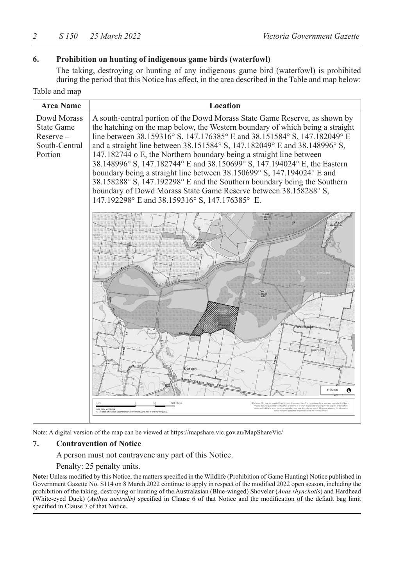$1:25.000$  $\mathbf o$ 

#### **6. Prohibition on hunting of indigenous game birds (waterfowl)**

The taking, destroying or hunting of any indigenous game bird (waterfowl) is prohibited during the period that this Notice has effect, in the area described in the Table and map below:

Table and map **Area Name Location** Dowd Morass A south-central portion of the Dowd Morass State Game Reserve, as shown by State Game the hatching on the map below, the Western boundary of which being a straight line between 38.159316° S, 147.176385° E and 38.151584° S, 147.182049° E Reserve – South-Central and a straight line between 38.151584° S, 147.182049° E and 38.148996° S, Portion 147.182744 o E, the Northern boundary being a straight line between 38.148996° S, 147.182744° E and 38.150699° S, 147.194024° E, the Eastern boundary being a straight line between 38.150699° S, 147.194024° E and 38.158288° S, 147.192298° E and the Southern boundary being the Southern boundary of Dowd Morass State Game Reserve between 38.158288° S, 147.192298° E and 38.159316° S, 147.176385° E. Dowd<br>Moras:<br>WP  $ord$ -Loc

Note: A digital version of the map can be viewed at https://mapshare.vic.gov.au/MapShareVic/

#### **7. Contravention of Notice**

A person must not contravene any part of this Notice.

ent, Land. Water and Planning 202

Penalty: 25 penalty units.

**Note:** Unless modified by this Notice, the matters specified in the Wildlife (Prohibition of Game Hunting) Notice published in Government Gazette No. S114 on 8 March 2022 continue to apply in respect of the modified 2022 open season, including the prohibition of the taking, destroying or hunting of the Australasian (Blue-winged) Shoveler (*Anas rhynchotis*) and Hardhead (White-eyed Duck) (*Aythya australis)* specified in Clause 6 of that Notice and the modification of the default bag limit specified in Clause 7 of that Notice.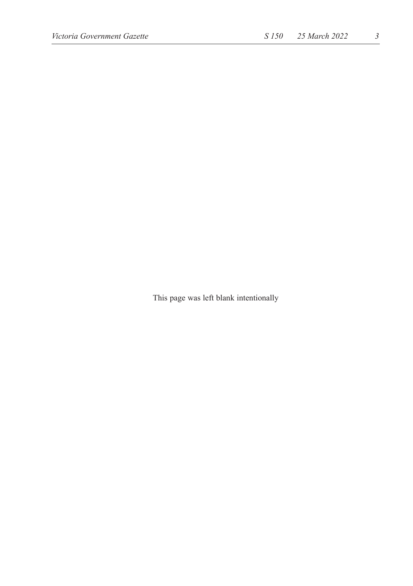This page was left blank intentionally